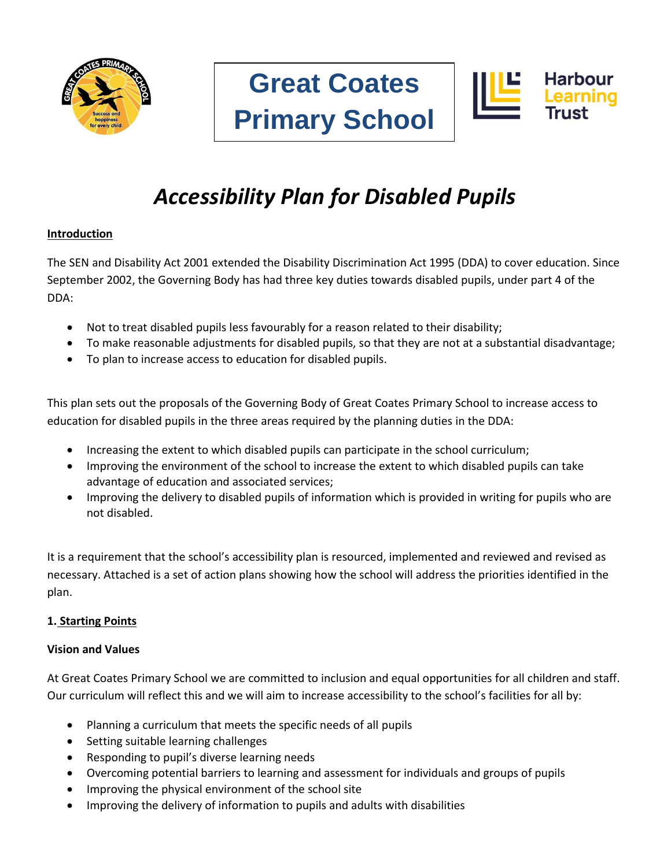





# *Accessibility Plan for Disabled Pupils*

## **Introduction**

The SEN and Disability Act 2001 extended the Disability Discrimination Act 1995 (DDA) to cover education. Since September 2002, the Governing Body has had three key duties towards disabled pupils, under part 4 of the DDA:

- Not to treat disabled pupils less favourably for a reason related to their disability;
- To make reasonable adjustments for disabled pupils, so that they are not at a substantial disadvantage;
- To plan to increase access to education for disabled pupils.

This plan sets out the proposals of the Governing Body of Great Coates Primary School to increase access to education for disabled pupils in the three areas required by the planning duties in the DDA:

- Increasing the extent to which disabled pupils can participate in the school curriculum;
- Improving the environment of the school to increase the extent to which disabled pupils can take advantage of education and associated services;
- Improving the delivery to disabled pupils of information which is provided in writing for pupils who are not disabled.

It is a requirement that the school's accessibility plan is resourced, implemented and reviewed and revised as necessary. Attached is a set of action plans showing how the school will address the priorities identified in the plan.

## **1. Starting Points**

## **Vision and Values**

At Great Coates Primary School we are committed to inclusion and equal opportunities for all children and staff. Our curriculum will reflect this and we will aim to increase accessibility to the school's facilities for all by:

- Planning a curriculum that meets the specific needs of all pupils
- Setting suitable learning challenges
- Responding to pupil's diverse learning needs
- Overcoming potential barriers to learning and assessment for individuals and groups of pupils
- Improving the physical environment of the school site
- Improving the delivery of information to pupils and adults with disabilities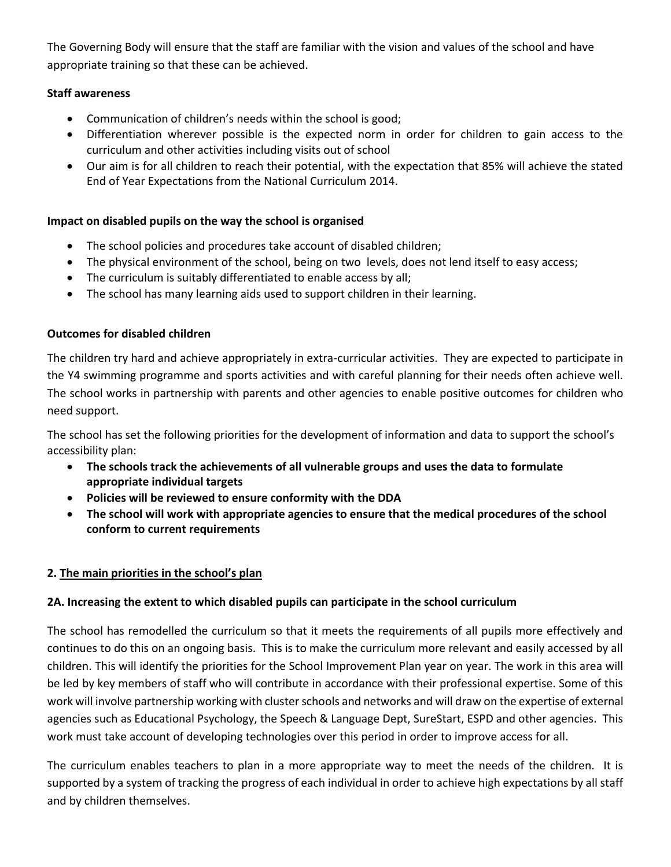The Governing Body will ensure that the staff are familiar with the vision and values of the school and have appropriate training so that these can be achieved.

#### **Staff awareness**

- Communication of children's needs within the school is good;
- Differentiation wherever possible is the expected norm in order for children to gain access to the curriculum and other activities including visits out of school
- Our aim is for all children to reach their potential, with the expectation that 85% will achieve the stated End of Year Expectations from the National Curriculum 2014.

## **Impact on disabled pupils on the way the school is organised**

- The school policies and procedures take account of disabled children;
- The physical environment of the school, being on two levels, does not lend itself to easy access;
- The curriculum is suitably differentiated to enable access by all;
- The school has many learning aids used to support children in their learning.

#### **Outcomes for disabled children**

The children try hard and achieve appropriately in extra-curricular activities. They are expected to participate in the Y4 swimming programme and sports activities and with careful planning for their needs often achieve well. The school works in partnership with parents and other agencies to enable positive outcomes for children who need support.

The school has set the following priorities for the development of information and data to support the school's accessibility plan:

- **The schools track the achievements of all vulnerable groups and uses the data to formulate appropriate individual targets**
- **Policies will be reviewed to ensure conformity with the DDA**
- **The school will work with appropriate agencies to ensure that the medical procedures of the school conform to current requirements**

## **2. The main priorities in the school's plan**

## **2A. Increasing the extent to which disabled pupils can participate in the school curriculum**

The school has remodelled the curriculum so that it meets the requirements of all pupils more effectively and continues to do this on an ongoing basis. This is to make the curriculum more relevant and easily accessed by all children. This will identify the priorities for the School Improvement Plan year on year. The work in this area will be led by key members of staff who will contribute in accordance with their professional expertise. Some of this work will involve partnership working with cluster schools and networks and will draw on the expertise of external agencies such as Educational Psychology, the Speech & Language Dept, SureStart, ESPD and other agencies. This work must take account of developing technologies over this period in order to improve access for all.

The curriculum enables teachers to plan in a more appropriate way to meet the needs of the children. It is supported by a system of tracking the progress of each individual in order to achieve high expectations by all staff and by children themselves.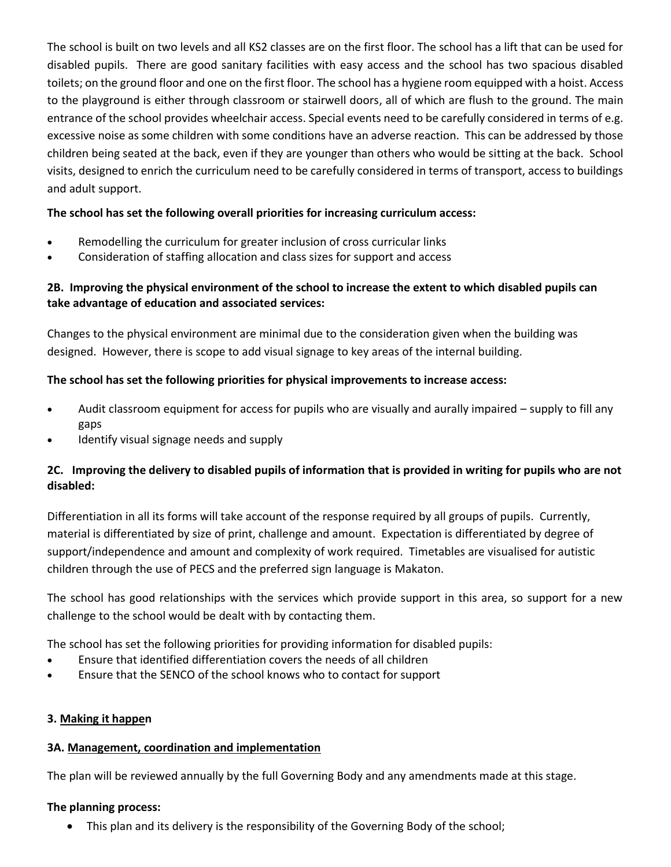The school is built on two levels and all KS2 classes are on the first floor. The school has a lift that can be used for disabled pupils. There are good sanitary facilities with easy access and the school has two spacious disabled toilets; on the ground floor and one on the first floor. The school has a hygiene room equipped with a hoist. Access to the playground is either through classroom or stairwell doors, all of which are flush to the ground. The main entrance of the school provides wheelchair access. Special events need to be carefully considered in terms of e.g. excessive noise as some children with some conditions have an adverse reaction. This can be addressed by those children being seated at the back, even if they are younger than others who would be sitting at the back. School visits, designed to enrich the curriculum need to be carefully considered in terms of transport, access to buildings and adult support.

#### **The school has set the following overall priorities for increasing curriculum access:**

- Remodelling the curriculum for greater inclusion of cross curricular links
- Consideration of staffing allocation and class sizes for support and access

#### **2B. Improving the physical environment of the school to increase the extent to which disabled pupils can take advantage of education and associated services:**

Changes to the physical environment are minimal due to the consideration given when the building was designed. However, there is scope to add visual signage to key areas of the internal building.

#### **The school has set the following priorities for physical improvements to increase access:**

- Audit classroom equipment for access for pupils who are visually and aurally impaired supply to fill any gaps
- Identify visual signage needs and supply

#### **2C. Improving the delivery to disabled pupils of information that is provided in writing for pupils who are not disabled:**

Differentiation in all its forms will take account of the response required by all groups of pupils. Currently, material is differentiated by size of print, challenge and amount. Expectation is differentiated by degree of support/independence and amount and complexity of work required. Timetables are visualised for autistic children through the use of PECS and the preferred sign language is Makaton.

The school has good relationships with the services which provide support in this area, so support for a new challenge to the school would be dealt with by contacting them.

The school has set the following priorities for providing information for disabled pupils:

- Ensure that identified differentiation covers the needs of all children
- Ensure that the SENCO of the school knows who to contact for support

#### **3. Making it happen**

#### **3A. Management, coordination and implementation**

The plan will be reviewed annually by the full Governing Body and any amendments made at this stage.

#### **The planning process:**

This plan and its delivery is the responsibility of the Governing Body of the school;